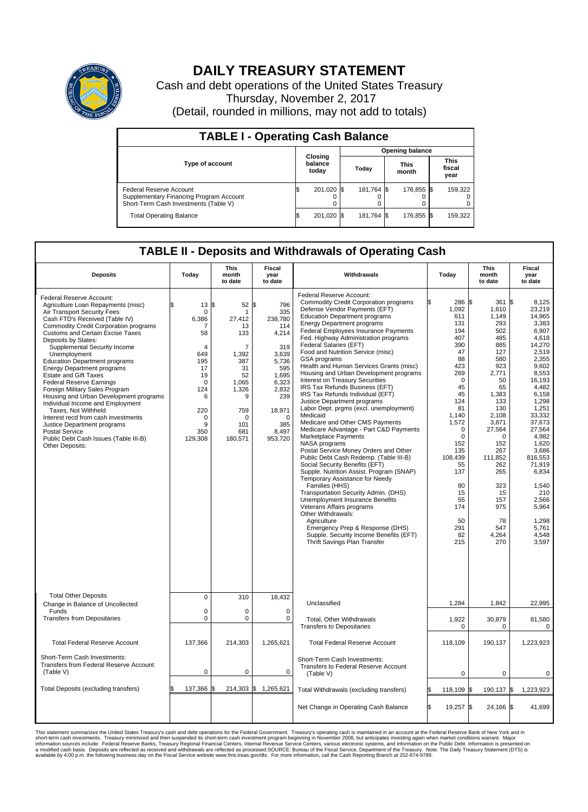

## **DAILY TREASURY STATEMENT**

Cash and debt operations of the United States Treasury Thursday, November 2, 2017 (Detail, rounded in millions, may not add to totals)

| <b>TABLE I - Operating Cash Balance</b>                                                                     |    |                             |                        |            |                      |            |                               |         |  |  |
|-------------------------------------------------------------------------------------------------------------|----|-----------------------------|------------------------|------------|----------------------|------------|-------------------------------|---------|--|--|
|                                                                                                             |    |                             | <b>Opening balance</b> |            |                      |            |                               |         |  |  |
| Type of account                                                                                             |    | Closing<br>balance<br>today | Today                  |            | <b>This</b><br>month |            | <b>This</b><br>fiscal<br>year |         |  |  |
| Federal Reserve Account<br>Supplementary Financing Program Account<br>Short-Term Cash Investments (Table V) |    | 201,020 \$                  |                        | 181.764 \$ |                      | 176,855 \$ |                               | 159,322 |  |  |
| <b>Total Operating Balance</b>                                                                              | ß. | 201,020 \$                  |                        | 181,764 \$ |                      | 176,855 \$ |                               | 159,322 |  |  |

## **TABLE II - Deposits and Withdrawals of Operating Cash**

| <b>Deposits</b>                                                                                                                                                                                                                                                                                                                                                                                                                                                                                                                                                                                                                                                                                                                              | Today                                                                                                                                                    | <b>This</b><br>month<br>to date                                                                                                                        | <b>Fiscal</b><br>year<br>to date                                                                                                                            | Withdrawals                                                                                                                                                                                                                                                                                                                                                                                                                                                                                                                                                                                                                                                                                                                                                                                                                                                                                                                                                                                                                                                                                                                                                                                                                                   | Today                                                                                                                                                                                                                                                         | <b>This</b><br>month<br>to date                                                                                                                                                                                                                           | <b>Fiscal</b><br>year<br>to date                                                                                                                                                                                                                                                                                     |
|----------------------------------------------------------------------------------------------------------------------------------------------------------------------------------------------------------------------------------------------------------------------------------------------------------------------------------------------------------------------------------------------------------------------------------------------------------------------------------------------------------------------------------------------------------------------------------------------------------------------------------------------------------------------------------------------------------------------------------------------|----------------------------------------------------------------------------------------------------------------------------------------------------------|--------------------------------------------------------------------------------------------------------------------------------------------------------|-------------------------------------------------------------------------------------------------------------------------------------------------------------|-----------------------------------------------------------------------------------------------------------------------------------------------------------------------------------------------------------------------------------------------------------------------------------------------------------------------------------------------------------------------------------------------------------------------------------------------------------------------------------------------------------------------------------------------------------------------------------------------------------------------------------------------------------------------------------------------------------------------------------------------------------------------------------------------------------------------------------------------------------------------------------------------------------------------------------------------------------------------------------------------------------------------------------------------------------------------------------------------------------------------------------------------------------------------------------------------------------------------------------------------|---------------------------------------------------------------------------------------------------------------------------------------------------------------------------------------------------------------------------------------------------------------|-----------------------------------------------------------------------------------------------------------------------------------------------------------------------------------------------------------------------------------------------------------|----------------------------------------------------------------------------------------------------------------------------------------------------------------------------------------------------------------------------------------------------------------------------------------------------------------------|
| Federal Reserve Account:<br>Agriculture Loan Repayments (misc)<br>Air Transport Security Fees<br>Cash FTD's Received (Table IV)<br><b>Commodity Credit Corporation programs</b><br><b>Customs and Certain Excise Taxes</b><br>Deposits by States:<br>Supplemental Security Income<br>Unemployment<br><b>Education Department programs</b><br><b>Energy Department programs</b><br><b>Estate and Gift Taxes</b><br><b>Federal Reserve Earnings</b><br>Foreign Military Sales Program<br>Housing and Urban Development programs<br>Individual Income and Employment<br>Taxes. Not Withheld<br>Interest recd from cash investments<br>Justice Department programs<br>Postal Service<br>Public Debt Cash Issues (Table III-B)<br>Other Deposits: | \$<br>$13 \,$ $\uparrow$<br>$\mathbf 0$<br>6,386<br>7<br>58<br>4<br>649<br>195<br>17<br>19<br>$\mathbf 0$<br>124<br>6<br>220<br>0<br>9<br>350<br>129,308 | $52 \text{ }$ \$<br>1<br>27.412<br>13<br>133<br>$\overline{7}$<br>1,392<br>387<br>31<br>52<br>1,065<br>1,326<br>9<br>759<br>O<br>101<br>681<br>180,571 | 796<br>335<br>238,780<br>114<br>4,214<br>319<br>3,639<br>5.736<br>595<br>1,695<br>6,323<br>2,832<br>239<br>18,971<br>$\mathbf 0$<br>385<br>8,497<br>953,720 | Federal Reserve Account:<br><b>Commodity Credit Corporation programs</b><br>Defense Vendor Payments (EFT)<br><b>Education Department programs</b><br><b>Energy Department programs</b><br>Federal Employees Insurance Payments<br>Fed. Highway Administration programs<br>Federal Salaries (EFT)<br>Food and Nutrition Service (misc)<br>GSA programs<br>Health and Human Services Grants (misc)<br>Housing and Urban Development programs<br>Interest on Treasury Securities<br>IRS Tax Refunds Business (EFT)<br>IRS Tax Refunds Individual (EFT)<br>Justice Department programs<br>Labor Dept. prgms (excl. unemployment)<br>Medicaid<br>Medicare and Other CMS Payments<br>Medicare Advantage - Part C&D Payments<br>Marketplace Payments<br>NASA programs<br>Postal Service Money Orders and Other<br>Public Debt Cash Redemp. (Table III-B)<br>Social Security Benefits (EFT)<br>Supple. Nutrition Assist. Program (SNAP)<br>Temporary Assistance for Needy<br>Families (HHS)<br>Transportation Security Admin. (DHS)<br>Unemployment Insurance Benefits<br>Veterans Affairs programs<br>Other Withdrawals:<br>Agriculture<br>Emergency Prep & Response (DHS)<br>Supple. Security Income Benefits (EFT)<br>Thrift Savings Plan Transfer | 286 \$<br>1,092<br>611<br>131<br>194<br>407<br>390<br>47<br>88<br>423<br>269<br>$\mathbf 0$<br>45<br>45<br>124<br>81<br>1.140<br>1,572<br>$\mathbf 0$<br>$\mathbf 0$<br>152<br>135<br>108,439<br>55<br>137<br>80<br>15<br>55<br>174<br>50<br>291<br>82<br>215 | 361<br>1,610<br>1,149<br>293<br>502<br>485<br>885<br>127<br>580<br>923<br>2,771<br>50<br>65<br>1,383<br>133<br>130<br>2.108<br>3,871<br>27,564<br>$\Omega$<br>152<br>267<br>111,852<br>262<br>265<br>323<br>15<br>157<br>975<br>78<br>547<br>4,264<br>270 | l\$<br>8.125<br>23,219<br>14,965<br>3,383<br>6,907<br>4,618<br>14,270<br>2.519<br>2,355<br>9.602<br>8.553<br>16,193<br>4,482<br>6,158<br>1,298<br>1,251<br>33.332<br>37,673<br>27,564<br>4,982<br>1.620<br>3,686<br>816,553<br>71,919<br>6,834<br>1,540<br>210<br>2,566<br>5,964<br>1,298<br>5,761<br>4,548<br>3,597 |
| <b>Total Other Deposits</b><br>Change in Balance of Uncollected                                                                                                                                                                                                                                                                                                                                                                                                                                                                                                                                                                                                                                                                              | $\mathbf 0$                                                                                                                                              | 310                                                                                                                                                    | 18,432                                                                                                                                                      | Unclassified                                                                                                                                                                                                                                                                                                                                                                                                                                                                                                                                                                                                                                                                                                                                                                                                                                                                                                                                                                                                                                                                                                                                                                                                                                  | 1,284                                                                                                                                                                                                                                                         | 1,842                                                                                                                                                                                                                                                     | 22,995                                                                                                                                                                                                                                                                                                               |
| Funds<br><b>Transfers from Depositaries</b>                                                                                                                                                                                                                                                                                                                                                                                                                                                                                                                                                                                                                                                                                                  | $\mathbf 0$<br>$\mathbf 0$                                                                                                                               | $\Omega$<br>0                                                                                                                                          | $\mathbf 0$<br>0                                                                                                                                            | Total, Other Withdrawals<br><b>Transfers to Depositaries</b>                                                                                                                                                                                                                                                                                                                                                                                                                                                                                                                                                                                                                                                                                                                                                                                                                                                                                                                                                                                                                                                                                                                                                                                  | 1,922<br>$\mathbf 0$                                                                                                                                                                                                                                          | 30,879<br>$\mathbf 0$                                                                                                                                                                                                                                     | 81,580<br>$\mathbf 0$                                                                                                                                                                                                                                                                                                |
| <b>Total Federal Reserve Account</b>                                                                                                                                                                                                                                                                                                                                                                                                                                                                                                                                                                                                                                                                                                         | 137,366                                                                                                                                                  | 214,303                                                                                                                                                | 1,265,621                                                                                                                                                   | <b>Total Federal Reserve Account</b>                                                                                                                                                                                                                                                                                                                                                                                                                                                                                                                                                                                                                                                                                                                                                                                                                                                                                                                                                                                                                                                                                                                                                                                                          | 118.109                                                                                                                                                                                                                                                       | 190,137                                                                                                                                                                                                                                                   | 1,223,923                                                                                                                                                                                                                                                                                                            |
| Short-Term Cash Investments:<br><b>Transfers from Federal Reserve Account</b><br>(Table V)                                                                                                                                                                                                                                                                                                                                                                                                                                                                                                                                                                                                                                                   | $\pmb{0}$                                                                                                                                                | 0                                                                                                                                                      | 0                                                                                                                                                           | Short-Term Cash Investments:<br>Transfers to Federal Reserve Account<br>(Table V)                                                                                                                                                                                                                                                                                                                                                                                                                                                                                                                                                                                                                                                                                                                                                                                                                                                                                                                                                                                                                                                                                                                                                             | $\mathbf 0$                                                                                                                                                                                                                                                   | $\mathbf 0$                                                                                                                                                                                                                                               | 0                                                                                                                                                                                                                                                                                                                    |
| Total Deposits (excluding transfers)                                                                                                                                                                                                                                                                                                                                                                                                                                                                                                                                                                                                                                                                                                         | 137,366                                                                                                                                                  | 214,303 \$                                                                                                                                             | 1,265,621                                                                                                                                                   | Total Withdrawals (excluding transfers)                                                                                                                                                                                                                                                                                                                                                                                                                                                                                                                                                                                                                                                                                                                                                                                                                                                                                                                                                                                                                                                                                                                                                                                                       | 118,109 \$                                                                                                                                                                                                                                                    | 190,137 \$                                                                                                                                                                                                                                                | 1,223,923                                                                                                                                                                                                                                                                                                            |
|                                                                                                                                                                                                                                                                                                                                                                                                                                                                                                                                                                                                                                                                                                                                              |                                                                                                                                                          |                                                                                                                                                        |                                                                                                                                                             | Net Change in Operating Cash Balance                                                                                                                                                                                                                                                                                                                                                                                                                                                                                                                                                                                                                                                                                                                                                                                                                                                                                                                                                                                                                                                                                                                                                                                                          | Ŝ.<br>19,257 \$                                                                                                                                                                                                                                               | 24,166 \$                                                                                                                                                                                                                                                 | 41,699                                                                                                                                                                                                                                                                                                               |

This statement summarizes the United States Treasury's cash and debt operations for the Federal Government. Treasury soperating in November 2008, but anticiarde in a cocount at the Federal Reserve Bank of New York and in<br>s